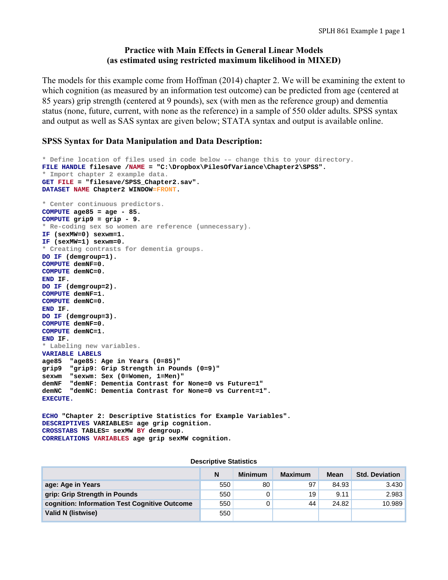# **Practice with Main Effects in General Linear Models (as estimated using restricted maximum likelihood in MIXED)**

The models for this example come from Hoffman (2014) chapter 2. We will be examining the extent to which cognition (as measured by an information test outcome) can be predicted from age (centered at 85 years) grip strength (centered at 9 pounds), sex (with men as the reference group) and dementia status (none, future, current, with none as the reference) in a sample of 550 older adults. SPSS syntax and output as well as SAS syntax are given below; STATA syntax and output is available online.

# **SPSS Syntax for Data Manipulation and Data Description:**

```
* Define location of files used in code below -– change this to your directory.
FILE HANDLE filesave /NAME = "C:\Dropbox\PilesOfVariance\Chapter2\SPSS". 
* Import chapter 2 example data. 
GET FILE = "filesave/SPSS_Chapter2.sav". 
DATASET NAME Chapter2 WINDOW=FRONT. 
* Center continuous predictors.
COMPUTE age85 = age - 85. 
COMPUTE grip9 = grip - 9. 
* Re-coding sex so women are reference (unnecessary).
IF (sexMW=0) sexwm=1. 
IF (sexMW=1) sexwm=0. 
* Creating contrasts for dementia groups.
DO IF (demgroup=1). 
COMPUTE demNF=0. 
COMPUTE demNC=0. 
END IF. 
DO IF (demgroup=2). 
COMPUTE demNF=1. 
COMPUTE demNC=0. 
END IF. 
DO IF (demgroup=3). 
COMPUTE demNF=0. 
COMPUTE demNC=1. 
END IF. 
* Labeling new variables.
VARIABLE LABELS 
age85 "age85: Age in Years (0=85)" 
grip9 "grip9: Grip Strength in Pounds (0=9)" 
sexwm "sexwm: Sex (0=Women, 1=Men)" 
demNF "demNF: Dementia Contrast for None=0 vs Future=1" 
demNC "demNC: Dementia Contrast for None=0 vs Current=1". 
EXECUTE.
```
**ECHO "Chapter 2: Descriptive Statistics for Example Variables". DESCRIPTIVES VARIABLES= age grip cognition. CROSSTABS TABLES= sexMW BY demgroup. CORRELATIONS VARIABLES age grip sexMW cognition.** 

#### **Descriptive Statistics**

|                                               | N   | <b>Minimum</b> | <b>Maximum</b> | <b>Mean</b> | <b>Std. Deviation</b> |
|-----------------------------------------------|-----|----------------|----------------|-------------|-----------------------|
| age: Age in Years                             | 550 | 80             | 97             | 84.93       | 3.430                 |
| grip: Grip Strength in Pounds                 | 550 |                | 19             | 9.11        | 2.983                 |
| cognition: Information Test Cognitive Outcome | 550 |                | 44             | 24.82       | 10.989                |
| Valid N (listwise)                            | 550 |                |                |             |                       |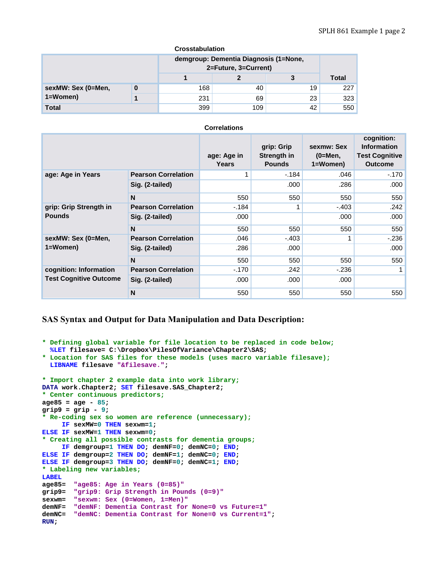#### **Crosstabulation**

|                    |   | demgroup: Dementia Diagnosis (1=None,<br>2=Future, 3=Current) |     |              |     |
|--------------------|---|---------------------------------------------------------------|-----|--------------|-----|
|                    |   |                                                               | 3   | <b>Total</b> |     |
| sexMW: Sex (0=Men, | 0 | 168                                                           | 40  | 19           | 227 |
| $1 = W$ omen $)$   |   | 231                                                           | 69  | 23           | 323 |
| Total              |   | 399                                                           | 109 | 42           | 550 |

#### **Correlations**

|                               |                            | age: Age in<br><b>Years</b> | grip: Grip<br>Strength in<br><b>Pounds</b> | sexmw: Sex<br>$(0=Men,$<br>1=Women) | cognition:<br><b>Information</b><br><b>Test Cognitive</b><br><b>Outcome</b> |
|-------------------------------|----------------------------|-----------------------------|--------------------------------------------|-------------------------------------|-----------------------------------------------------------------------------|
| age: Age in Years             | <b>Pearson Correlation</b> |                             | $-184$                                     | .046                                | $-170$                                                                      |
|                               | Sig. (2-tailed)            |                             | .000                                       | .286                                | .000                                                                        |
|                               | N                          | 550                         | 550                                        | 550                                 | 550                                                                         |
| grip: Grip Strength in        | <b>Pearson Correlation</b> | -.184                       |                                            | $-.403$                             | .242                                                                        |
| <b>Pounds</b>                 | Sig. (2-tailed)            | .000                        |                                            | .000                                | .000                                                                        |
|                               | N                          | 550                         | 550                                        | 550                                 | 550                                                                         |
| sexMW: Sex (0=Men,            | <b>Pearson Correlation</b> | .046                        | $-.403$                                    |                                     | $-236$                                                                      |
| 1=Women)                      | Sig. (2-tailed)            | .286                        | .000                                       |                                     | .000                                                                        |
|                               | N                          | 550                         | 550                                        | 550                                 | 550                                                                         |
| cognition: Information        | <b>Pearson Correlation</b> | $-170$                      | .242                                       | $-236$                              |                                                                             |
| <b>Test Cognitive Outcome</b> | Sig. (2-tailed)            | .000                        | .000                                       | .000                                |                                                                             |
|                               | N                          | 550                         | 550                                        | 550                                 | 550                                                                         |

## **SAS Syntax and Output for Data Manipulation and Data Description:**

```
* Defining global variable for file location to be replaced in code below;
  %LET filesave= C:\Dropbox\PilesOfVariance\Chapter2\SAS; 
* Location for SAS files for these models (uses macro variable filesave);
  LIBNAME filesave "&filesave."; 
* Import chapter 2 example data into work library;
DATA work.Chapter2; SET filesave.SAS_Chapter2; 
* Center continuous predictors;
age85 = age - 85; 
grip9 = grip - 9; 
* Re-coding sex so women are reference (unnecessary);
      IF sexMW=0 THEN sexwm=1; 
ELSE IF sexMW=1 THEN sexwm=0; 
* Creating all possible contrasts for dementia groups;
     IF demgroup=1 THEN DO; demNF=0; demNC=0; END; 
ELSE IF demgroup=2 THEN DO; demNF=1; demNC=0; END; 
ELSE IF demgroup=3 THEN DO; demNF=0; demNC=1; END; 
* Labeling new variables;
LABEL 
age85= "age85: Age in Years (0=85)"
grip9= "grip9: Grip Strength in Pounds (0=9)"
sexwm= "sexwm: Sex (0=Women, 1=Men)"
demNF= "demNF: Dementia Contrast for None=0 vs Future=1"
demNC= "demNC: Dementia Contrast for None=0 vs Current=1"; 
RUN;
```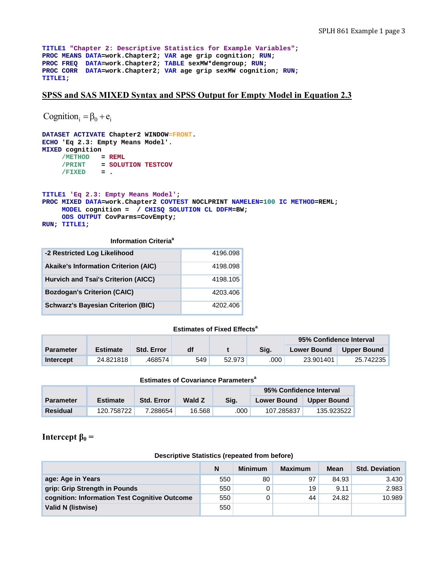```
TITLE1 "Chapter 2: Descriptive Statistics for Example Variables"; 
PROC MEANS DATA=work.Chapter2; VAR age grip cognition; RUN; 
PROC FREQ DATA=work.Chapter2; TABLE sexMW*demgroup; RUN; 
PROC CORR DATA=work.Chapter2; VAR age grip sexMW cognition; RUN; 
TITLE1;
```
## **SPSS and SAS MIXED Syntax and SPSS Output for Empty Model in Equation 2.3**

```
Cognition = \beta_0 + e_i
```

```
DATASET ACTIVATE Chapter2 WINDOW=FRONT. 
ECHO 'Eq 2.3: Empty Means Model'. 
MIXED cognition 
     /METHOD = REML
     /PRINT = SOLUTION TESTCOV 
     /FIXED = . 
TITLE1 'Eq 2.3: Empty Means Model'; 
PROC MIXED DATA=work.Chapter2 COVTEST NOCLPRINT NAMELEN=100 IC METHOD=REML; 
     MODEL cognition = / CHISQ SOLUTION CL DDFM=BW; 
      ODS OUTPUT CovParms=CovEmpty;
```

```
RUN; TITLE1;
```
#### **Information Criteria<sup>a</sup>**

| -2 Restricted Log Likelihood                | 4196.098 |
|---------------------------------------------|----------|
| <b>Akaike's Information Criterion (AIC)</b> | 4198.098 |
| <b>Hurvich and Tsai's Criterion (AICC)</b>  | 4198.105 |
| <b>Bozdogan's Criterion (CAIC)</b>          | 4203.406 |
| <b>Schwarz's Bayesian Criterion (BIC)</b>   | 4202.406 |

#### **Estimates of Fixed Effects<sup>a</sup>**

|                  |                 |                   |     |        |      | 95% Confidence Interval |             |
|------------------|-----------------|-------------------|-----|--------|------|-------------------------|-------------|
| <b>Parameter</b> | <b>Estimate</b> | <b>Std. Error</b> | df  |        | Sig. | <b>Lower Bound</b>      | Upper Bound |
| <b>Intercept</b> | 24.821818       | 468574            | 549 | 52.973 | .000 | 23.901401               | 25.742235   |

### **Estimates of Covariance Parameters<sup>a</sup>**

|                  |                 |                   |        |      | 95% Confidence Interval |             |
|------------------|-----------------|-------------------|--------|------|-------------------------|-------------|
| <b>Parameter</b> | <b>Estimate</b> | <b>Std. Error</b> | Wald Z | Sig. | <b>Lower Bound</b>      | Upper Bound |
| <b>Residual</b>  | 120.758722      | 7.288654          | 16.568 | .000 | 107.285837              | 135.923522  |

### **Intercept**  $β_0 =$

#### **Descriptive Statistics (repeated from before)**

|                                               | N   | <b>Minimum</b> | <b>Maximum</b> | <b>Mean</b> | <b>Std. Deviation</b> |
|-----------------------------------------------|-----|----------------|----------------|-------------|-----------------------|
| age: Age in Years                             | 550 | 80             | 97             | 84.93       | 3.430                 |
| grip: Grip Strength in Pounds                 | 550 |                | 19             | 9.11        | 2.983                 |
| cognition: Information Test Cognitive Outcome | 550 |                | 44             | 24.82       | 10.989                |
| Valid N (listwise)                            | 550 |                |                |             |                       |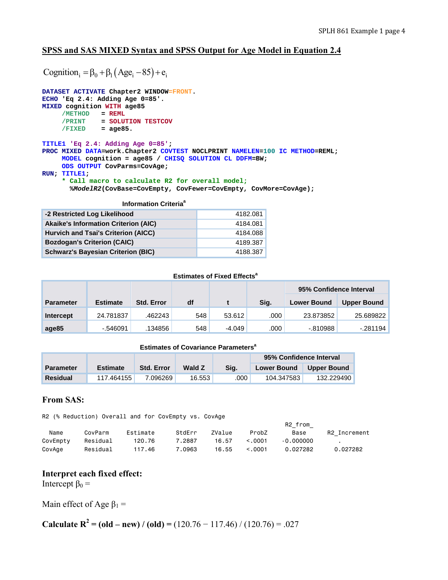# **SPSS and SAS MIXED Syntax and SPSS Output for Age Model in Equation 2.4**

Cognition =  $\beta_0 + \beta_1 (Age_i - 85) + e_i$ 

```
DATASET ACTIVATE Chapter2 WINDOW=FRONT. 
ECHO 'Eq 2.4: Adding Age 0=85'. 
MIXED cognition WITH age85 
     /METHOD = REML
      /PRINT = SOLUTION TESTCOV 
      /FIXED = age85. 
TITLE1 'Eq 2.4: Adding Age 0=85'; 
PROC MIXED DATA=work.Chapter2 COVTEST NOCLPRINT NAMELEN=100 IC METHOD=REML; 
      MODEL cognition = age85 / CHISQ SOLUTION CL DDFM=BW; 
      ODS OUTPUT CovParms=CovAge; 
RUN; TITLE1; 
      * Call macro to calculate R2 for overall model;
        %ModelR2(CovBase=CovEmpty, CovFewer=CovEmpty, CovMore=CovAge);
```

| <b>Information Criteria<sup>a</sup></b>     |          |  |  |  |  |  |  |
|---------------------------------------------|----------|--|--|--|--|--|--|
| -2 Restricted Log Likelihood                | 4182.081 |  |  |  |  |  |  |
| <b>Akaike's Information Criterion (AIC)</b> | 4184.081 |  |  |  |  |  |  |
| Hurvich and Tsai's Criterion (AICC)         | 4184.088 |  |  |  |  |  |  |
| <b>Bozdogan's Criterion (CAIC)</b>          | 4189.387 |  |  |  |  |  |  |
| <b>Schwarz's Bayesian Criterion (BIC)</b>   | 4188.387 |  |  |  |  |  |  |

#### **Estimates of Fixed Effects<sup>a</sup>**

|                  |                 |                   |     |          |      | 95% Confidence Interval |                    |
|------------------|-----------------|-------------------|-----|----------|------|-------------------------|--------------------|
| <b>Parameter</b> | <b>Estimate</b> | <b>Std. Error</b> | df  |          | Sig. | <b>Lower Bound</b>      | <b>Upper Bound</b> |
| Intercept        | 24.781837       | .462243           | 548 | 53.612   | .000 | 23.873852               | 25.689822          |
| age85            | $-546091$       | .134856           | 548 | $-4.049$ | .000 | -.810988                | $-281194$          |

#### **Estimates of Covariance Parameters<sup>a</sup>**

|                  |                 |                   |        |      | 95% Confidence Interval |                    |
|------------------|-----------------|-------------------|--------|------|-------------------------|--------------------|
| <b>Parameter</b> | <b>Estimate</b> | <b>Std. Error</b> | Wald Z | Sia. | <b>Lower Bound</b>      | <b>Upper Bound</b> |
| <b>Residual</b>  | 117.464155      | 7.096269          | 16.553 | .000 | 104.347583              | 132.229490         |

## **From SAS:**

R2 (% Reduction) Overall and for CovEmpty vs. CovAge

|          |          |          |        |        |         | R <sub>2</sub> from |              |
|----------|----------|----------|--------|--------|---------|---------------------|--------------|
| Name     | CovParm  | Estimate | StdErr | ZValue | ProbZ   | Base                | R2 Increment |
| CovEmpty | Residual | 120.76   | 7.2887 | 16.57  | < 0.001 | $-0.000000$         |              |
| CovAge   | Residual | 117.46   | 7.0963 | 16.55  | < 0.001 | 0.027282            | 0.027282     |

## **Interpret each fixed effect:**

Intercept  $β_0 =$ 

Main effect of Age  $\beta_1$  =

**Calculate R<sup>2</sup>** = (old – new) / (old) =  $(120.76 - 117.46)$  /  $(120.76) = .027$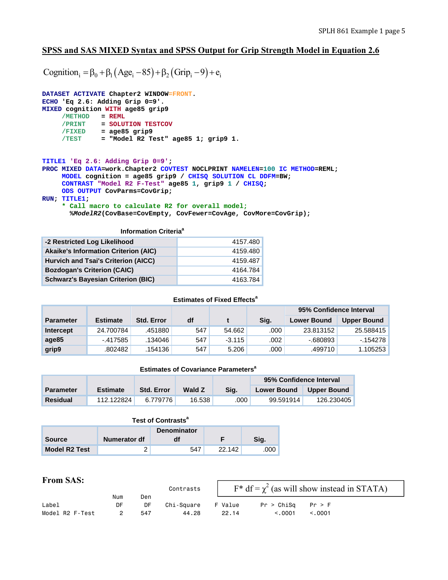# **SPSS and SAS MIXED Syntax and SPSS Output for Grip Strength Model in Equation 2.6**

Cognition  $=\beta_0 + \beta_1 (Age_i - 85) + \beta_2 (Grip_i - 9) + e_i$ 

```
DATASET ACTIVATE Chapter2 WINDOW=FRONT. 
ECHO 'Eq 2.6: Adding Grip 0=9'. 
MIXED cognition WITH age85 grip9 
     /METHOD = REML
 /PRINT = SOLUTION TESTCOV 
 /FIXED = age85 grip9 
 /TEST = "Model R2 Test" age85 1; grip9 1. 
TITLE1 'Eq 2.6: Adding Grip 0=9'; 
PROC MIXED DATA=work.Chapter2 COVTEST NOCLPRINT NAMELEN=100 IC METHOD=REML; 
      MODEL cognition = age85 grip9 / CHISQ SOLUTION CL DDFM=BW; 
      CONTRAST "Model R2 F-Test" age85 1, grip9 1 / CHISQ; 
      ODS OUTPUT CovParms=CovGrip; 
RUN; TITLE1; 
      * Call macro to calculate R2 for overall model;
       %ModelR2(CovBase=CovEmpty, CovFewer=CovAge, CovMore=CovGrip);
```
**Information Criteria<sup>a</sup>** 

| -2 Restricted Log Likelihood                | 4157.480 |
|---------------------------------------------|----------|
| <b>Akaike's Information Criterion (AIC)</b> | 4159.480 |
| Hurvich and Tsai's Criterion (AICC)         | 4159.487 |
| <b>Bozdogan's Criterion (CAIC)</b>          | 4164.784 |
| <b>Schwarz's Bayesian Criterion (BIC)</b>   | 4163.784 |

#### **Estimates of Fixed Effects<sup>a</sup>**

|                  |                 |                   |     |          |      | 95% Confidence Interval |                    |
|------------------|-----------------|-------------------|-----|----------|------|-------------------------|--------------------|
| <b>Parameter</b> | <b>Estimate</b> | <b>Std. Error</b> | df  |          | Sig. | <b>Lower Bound</b>      | <b>Upper Bound</b> |
| Intercept        | 24.700784       | .451880           | 547 | 54.662   | .000 | 23.813152               | 25.588415          |
| age85            | -.417585        | .134046           | 547 | $-3.115$ | .002 | $-680893$               | $-154278$          |
| grip9            | .802482         | .154136           | 547 | 5.206    | .000 | .499710                 | 1.105253           |

#### **Estimates of Covariance Parameters<sup>a</sup>**

|                  |                 |                   |               |      | 95% Confidence Interval |                    |
|------------------|-----------------|-------------------|---------------|------|-------------------------|--------------------|
| <b>Parameter</b> | <b>Estimate</b> | <b>Std. Error</b> | <b>Wald Z</b> | Sia. | <b>Lower Bound</b>      | <b>Upper Bound</b> |
| Residual         | 112.122824      | 6.779776          | 16.538        | .000 | 99.591914               | 126.230405         |

| Test of Contrasts <sup>a</sup> |                      |    |  |      |  |  |  |
|--------------------------------|----------------------|----|--|------|--|--|--|
| <b>Denominator</b>             |                      |    |  |      |  |  |  |
| <b>Source</b>                  | Numerator df         | df |  | Sig. |  |  |  |
| <b>Model R2 Test</b>           | 547<br>22.142<br>00C |    |  |      |  |  |  |

## **From SAS:**

| ---------       |           |           | Contrasts  |         |            | $F^* df = \chi^2$ (as will show instead in STATA) |  |
|-----------------|-----------|-----------|------------|---------|------------|---------------------------------------------------|--|
| Label           | Num<br>DF | Den<br>DF | Chi-Sauare | F Value | Pr > ChiSa | Pr > F                                            |  |
|                 |           |           |            |         |            |                                                   |  |
| Model R2 F-Test |           | 547       | 44.28      | 22.14   | < 0.001    | < 0.001                                           |  |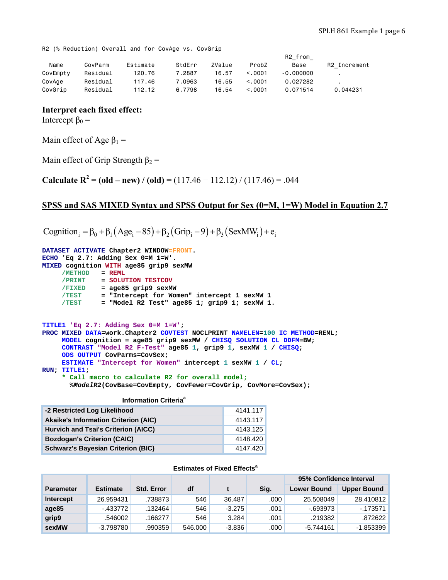R2 (% Reduction) Overall and for CovAge vs. CovGrip

|          |          |          |        |        |         | R2 from     |              |
|----------|----------|----------|--------|--------|---------|-------------|--------------|
| Name     | CovParm  | Estimate | StdErr | ZValue | ProbZ   | Base        | R2 Increment |
| CovEmpty | Residual | 120.76   | 7.2887 | 16.57  | < 0.001 | $-0.000000$ |              |
| CovAge   | Residual | 117.46   | 7.0963 | 16.55  | < 0.001 | 0.027282    |              |
| CovGrip  | Residual | 112.12   | 6.7798 | 16.54  | < 0.001 | 0.071514    | 0.044231     |

### **Interpret each fixed effect:**

Intercept  $β_0 =$ 

Main effect of Age  $\beta_1$  =

Main effect of Grip Strength  $\beta_2$  =

**Calculate R<sup>2</sup>** = (old – new) / (old) =  $(117.46 - 112.12)$  /  $(117.46) = .044$ 

### **SPSS and SAS MIXED Syntax and SPSS Output for Sex (0=M, 1=W) Model in Equation 2.7**

Cognition<sub>i</sub> =  $\beta_0 + \beta_1 (Age_i - 85) + \beta_2 (Grip_i - 9) + \beta_3 (SexMW_i) + e_i$ 

```
DATASET ACTIVATE Chapter2 WINDOW=FRONT. 
ECHO 'Eq 2.7: Adding Sex 0=M 1=W'. 
MIXED cognition WITH age85 grip9 sexMW 
     /METHOD = REML
      /PRINT = SOLUTION TESTCOV 
      /FIXED = age85 grip9 sexMW 
      /TEST = "Intercept for Women" intercept 1 sexMW 1 
      /TEST = "Model R2 Test" age85 1; grip9 1; sexMW 1. 
TITLE1 'Eq 2.7: Adding Sex 0=M 1=W'; 
PROC MIXED DATA=work.Chapter2 COVTEST NOCLPRINT NAMELEN=100 IC METHOD=REML; 
      MODEL cognition = age85 grip9 sexMW / CHISQ SOLUTION CL DDFM=BW; 
      CONTRAST "Model R2 F-Test" age85 1, grip9 1, sexMW 1 / CHISQ; 
      ODS OUTPUT CovParms=CovSex; 
      ESTIMATE "Intercept for Women" intercept 1 sexMW 1 / CL; 
RUN; TITLE1; 
      * Call macro to calculate R2 for overall model;
        %ModelR2(CovBase=CovEmpty, CovFewer=CovGrip, CovMore=CovSex);
```

| Information Criteria <sup>a</sup>           |          |  |  |  |  |  |
|---------------------------------------------|----------|--|--|--|--|--|
| -2 Restricted Log Likelihood                | 4141.117 |  |  |  |  |  |
| <b>Akaike's Information Criterion (AIC)</b> | 4143.117 |  |  |  |  |  |
| Hurvich and Tsai's Criterion (AICC)         | 4143.125 |  |  |  |  |  |
| <b>Bozdogan's Criterion (CAIC)</b>          | 4148.420 |  |  |  |  |  |

**Schwarz's Bayesian Criterion (BIC)** 4147.420

#### **Estimates of Fixed Effects<sup>a</sup>**

|                  |                 |                   |         |          |      | 95% Confidence Interval |                    |
|------------------|-----------------|-------------------|---------|----------|------|-------------------------|--------------------|
| <b>Parameter</b> | <b>Estimate</b> | <b>Std. Error</b> | df      |          | Sia. | <b>Lower Bound</b>      | <b>Upper Bound</b> |
| Intercept        | 26.959431       | .738873           | 546     | 36.487   | .000 | 25.508049               | 28.410812          |
| age85            | -.433772        | .132464           | 546     | $-3.275$ | .001 | -.693973                | $-173571$          |
| grip9            | .546002         | .166277           | 546     | 3.284    | .001 | .219382                 | .872622            |
| sexMW            | $-3.798780$     | .990359           | 546.000 | $-3.836$ | .000 | $-5.744161$             | -1.853399          |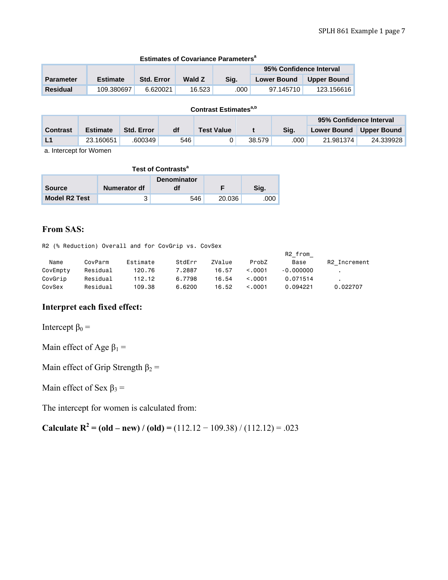|                  |                 |                   |                     |      | 95% Confidence Interval |             |
|------------------|-----------------|-------------------|---------------------|------|-------------------------|-------------|
| <b>Parameter</b> | <b>Estimate</b> | <b>Std. Error</b> | <b>Wald Z</b>       | Sig. | <b>Lower Bound</b>      | Upper Bound |
| <b>Residual</b>  | 109.380697      | 6.620021          | 16.523 <sub>1</sub> | .000 | 97.145710               | 123.156616  |

### **Estimates of Covariance Parameters<sup>a</sup>**

# **Contrast Estimates<sup>a,b</sup>**

|                 |                 |                   |     |                   |        |      | 95% Confidence Interval |             |
|-----------------|-----------------|-------------------|-----|-------------------|--------|------|-------------------------|-------------|
| <b>Contrast</b> | <b>Estimate</b> | <b>Std. Error</b> | df  | <b>Test Value</b> |        | Sia. | <b>Lower Bound</b>      | Upper Bound |
| <b>L1</b>       | 23.160651       | .600349           | 546 |                   | 38.579 | 000  | 21.981374               | 24.339928   |

a. Intercept for Women

| Test of Contrasts <sup>a</sup> |              |     |        |      |  |  |  |
|--------------------------------|--------------|-----|--------|------|--|--|--|
| <b>Denominator</b>             |              |     |        |      |  |  |  |
| <b>Source</b>                  | Numerator df |     |        | Sig. |  |  |  |
| <b>Model R2 Test</b>           |              | 546 | 20.036 | 000. |  |  |  |

# **From SAS:**

R2 (% Reduction) Overall and for CovGrip vs. CovSex

|          |          |          |        |        |         | R2 from     |              |
|----------|----------|----------|--------|--------|---------|-------------|--------------|
| Name     | CovParm  | Estimate | StdErr | ZValue | ProbZ   | Base        | R2 Increment |
| CovEmpty | Residual | 120.76   | 7.2887 | 16.57  | < 0.001 | $-0.000000$ |              |
| CovGrip  | Residual | 112.12   | 6.7798 | 16.54  | < 0.001 | 0.071514    |              |
| CovSex   | Residual | 109.38   | 6.6200 | 16.52  | < 0.001 | 0.094221    | 0.022707     |

# **Interpret each fixed effect:**

Intercept  $β_0 =$ 

Main effect of Age  $\beta_1$  =

Main effect of Grip Strength  $\beta_2$  =

Main effect of Sex  $\beta_3$  =

The intercept for women is calculated from:

**Calculate R<sup>2</sup>** = (old – new) / (old) =  $(112.12 - 109.38)$  /  $(112.12) = .023$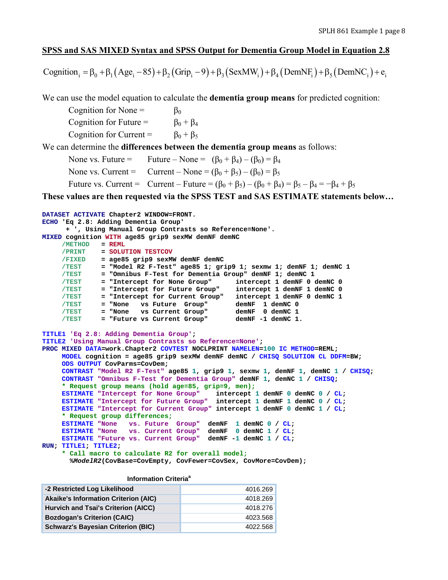## **SPSS and SAS MIXED Syntax and SPSS Output for Dementia Group Model in Equation 2.8**

Cognition  $=\beta_0 + \beta_1 (Age_i - 85) + \beta_2 (Grip_i - 9) + \beta_3 (SexMW_i) + \beta_4 (DemNF_i) + \beta_5 (DemNC_i) + e_i$ 

We can use the model equation to calculate the **dementia group means** for predicted cognition:

Cognition for None =  $\beta_0$ Cognition for Future =  $\beta_0 + \beta_4$ Cognition for Current =  $\beta_0 + \beta_5$ 

We can determine the **differences between the dementia group means** as follows:

None vs. Future = Future – None =  $(\beta_0 + \beta_4) - (\beta_0) = \beta_4$ None vs. Current = Current – None =  $(\beta_0 + \beta_5) - (\beta_0) = \beta_5$ Future vs. Current = Current – Future =  $(\beta_0 + \beta_5) - (\beta_0 + \beta_4) = \beta_5 - \beta_4 = -\beta_4 + \beta_5$ 

**These values are then requested via the SPSS TEST and SAS ESTIMATE statements below…** 

```
DATASET ACTIVATE Chapter2 WINDOW=FRONT. 
ECHO 'Eq 2.8: Adding Dementia Group' 
      + ', Using Manual Group Contrasts so Reference=None'. 
MIXED cognition WITH age85 grip9 sexMW demNF demNC 
     /METHOD = REML 
      /PRINT = SOLUTION TESTCOV 
      /FIXED = age85 grip9 sexMW demNF demNC 
 /TEST = "Model R2 F-Test" age85 1; grip9 1; sexmw 1; demNF 1; demNC 1 
 /TEST = "Omnibus F-Test for Dementia Group" demNF 1; demNC 1 
 /TEST = "Intercept for None Group" intercept 1 demNF 0 demNC 0 
 /TEST = "Intercept for Future Group" intercept 1 demNF 1 demNC 0 
     /TEST = "Intercept for Current Group" intercept 1 demNF 0 demNC 1 
    TEST = "None vs Future Group"<br>TEST = "None vs Current Group"
             = "None vs Current Group"
     /TEST = "Future vs Current Group" demNF -1 demNC 1. 
TITLE1 'Eq 2.8: Adding Dementia Group'; 
TITLE2 'Using Manual Group Contrasts so Reference=None'; 
PROC MIXED DATA=work.Chapter2 COVTEST NOCLPRINT NAMELEN=100 IC METHOD=REML; 
     MODEL cognition = age85 grip9 sexMW demNF demNC / CHISQ SOLUTION CL DDFM=BW; 
     ODS OUTPUT CovParms=CovDem; 
     CONTRAST "Model R2 F-Test" age85 1, grip9 1, sexmw 1, demNF 1, demNC 1 / CHISQ; 
     CONTRAST "Omnibus F-Test for Dementia Group" demNF 1, demNC 1 / CHISQ; 
      * Request group means (hold age=85, grip=9, men);
     ESTIMATE "Intercept for None Group" intercept 1 demNF 0 demNC 0 / CL; 
     ESTIMATE "Intercept for Future Group" intercept 1 demNF 1 demNC 0 / CL; 
     ESTIMATE "Intercept for Current Group" intercept 1 demNF 0 demNC 1 / CL; 
      * Request group differences;
     ESTIMATE "None vs. Future Group" demNF 1 demNC 0 / CL; 
     ESTIMATE "None vs. Current Group" demNF 0 demNC 1 / CL; 
     ESTIMATE "Future vs. Current Group" demNF -1 demNC 1 / CL; 
RUN; TITLE1; TITLE2; 
      * Call macro to calculate R2 for overall model;
       %ModelR2(CovBase=CovEmpty, CovFewer=CovSex, CovMore=CovDem);
```
**Information Criteria<sup>a</sup>** 

| -2 Restricted Log Likelihood                | 4016.269 |
|---------------------------------------------|----------|
| <b>Akaike's Information Criterion (AIC)</b> | 4018.269 |
| Hurvich and Tsai's Criterion (AICC)         | 4018.276 |
| <b>Bozdogan's Criterion (CAIC)</b>          | 4023.568 |
| <b>Schwarz's Bayesian Criterion (BIC)</b>   | 4022.568 |